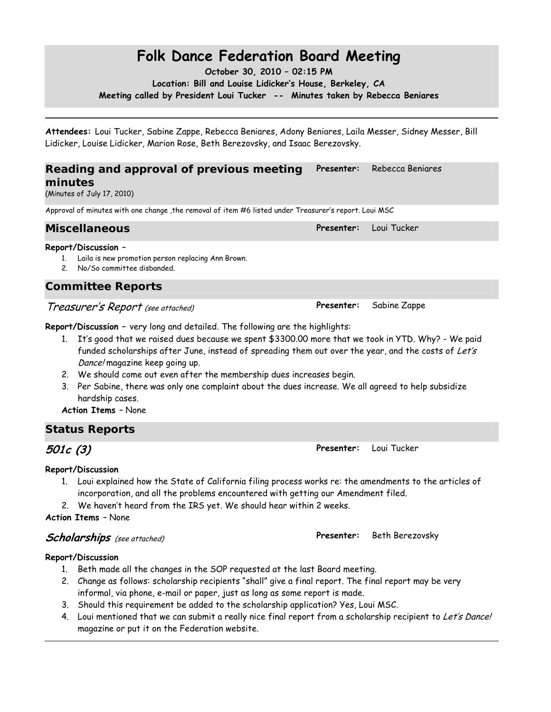# **Folk Dance Federation Board Meeting**

**October 30, 2010 – 02:15 PM Location: Bill and Louise Lidicker's House, Berkeley, CA Meeting called by President Loui Tucker -- Minutes taken by Rebecca Beniares** 

**Attendees:** Loui Tucker, Sabine Zappe, Rebecca Beniares, Adony Beniares, Laila Messer, Sidney Messer, Bill Lidicker, Louise Lidicker, Marion Rose, Beth Berezovsky, and Isaac Berezovsky.

#### **Reading and approval of previous meeting minutes Presenter:** Rebecca Beniares

(Minutes of July 17, 2010)

Approval of minutes with one change ,the removal of item #6 listed under Treasurer's report. Loui MSC

### **Miscellaneous Presenter:** Loui Tucker

#### **Report/Discussion –**

- 1. Laila is new promotion person replacing Ann Brown.
- 2. No/So committee disbanded.

## *Committee Reports*

## Treasurer's Report (see attached) **Presenter:** Sabine Zappe

**Report/Discussion –** very long and detailed. The following are the highlights:

- 1. It's good that we raised dues because we spent \$3300.00 more that we took in YTD. Why? We paid funded scholarships after June, instead of spreading them out over the year, and the costs of Let's Dance! magazine keep going up.
- 2. We should come out even after the membership dues increases begin.
- 3. Per Sabine, there was only one complaint about the dues increase. We all agreed to help subsidize hardship cases.

### **Action Items** – None

## *Status Reports*

**501c (3) Presenter:** Loui Tucker

### **Report/Discussion**

- 1. Loui explained how the State of California filing process works re: the amendments to the articles of incorporation, and all the problems encountered with getting our Amendment filed.
- 2. We haven't heard from the IRS yet. We should hear within 2 weeks.

#### **Action Items** – None

## **Scholarships** (see attached) **Presenter:** Beth Berezovsky

### **Report/Discussion**

- 1. Beth made all the changes in the SOP requested at the last Board meeting.
- 2. Change as follows: scholarship recipients "shall" give a final report. The final report may be very informal, via phone, e-mail or paper, just as long as some report is made.
- 3. Should this requirement be added to the scholarship application? Yes, Loui MSC.
- 4. Loui mentioned that we can submit a really nice final report from a scholarship recipient to Let's Dance! magazine or put it on the Federation website.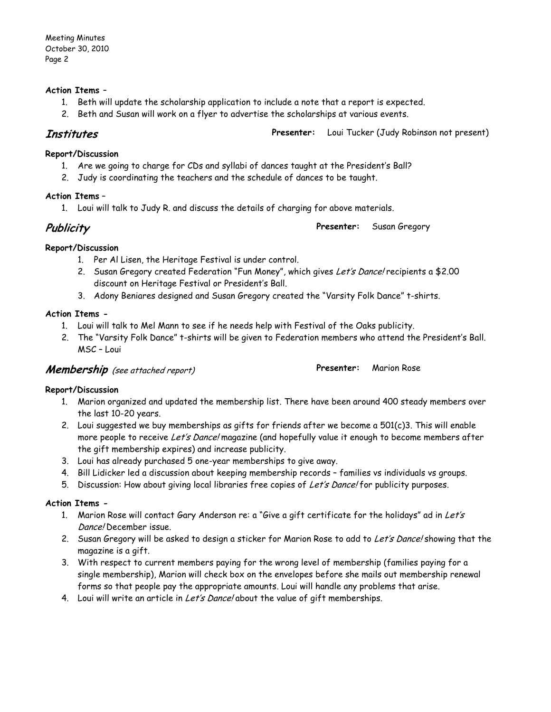#### **Action Items** –

- 1. Beth will update the scholarship application to include a note that a report is expected.
- 2. Beth and Susan will work on a flyer to advertise the scholarships at various events.

**Institutes Presenter:** Loui Tucker (Judy Robinson not present)

#### **Report/Discussion**

- 1. Are we going to charge for CDs and syllabi of dances taught at the President's Ball?
- 2. Judy is coordinating the teachers and the schedule of dances to be taught.

#### **Action Items** –

1. Loui will talk to Judy R. and discuss the details of charging for above materials.

**Publicity Presenter:** Susan Gregory

# **Report/Discussion**

- 1. Per Al Lisen, the Heritage Festival is under control.
- 2. Susan Gregory created Federation "Fun Money", which gives Let's Dance! recipients a \$2.00 discount on Heritage Festival or President's Ball.
- 3. Adony Beniares designed and Susan Gregory created the "Varsity Folk Dance" t-shirts.

### **Action Items -**

- 1. Loui will talk to Mel Mann to see if he needs help with Festival of the Oaks publicity.
- 2. The "Varsity Folk Dance" t-shirts will be given to Federation members who attend the President's Ball. MSC – Loui

## **Membership** (see attached report) **Presenter:** Marion Rose

#### **Report/Discussion**

- 1. Marion organized and updated the membership list. There have been around 400 steady members over the last 10-20 years.
- 2. Loui suggested we buy memberships as gifts for friends after we become a 501(c)3. This will enable more people to receive Let's Dance! magazine (and hopefully value it enough to become members after the gift membership expires) and increase publicity.
- 3. Loui has already purchased 5 one-year memberships to give away.
- 4. Bill Lidicker led a discussion about keeping membership records families vs individuals vs groups.
- 5. Discussion: How about giving local libraries free copies of Let's Dance! for publicity purposes.

#### **Action Items -**

- 1. Marion Rose will contact Gary Anderson re: a "Give a gift certificate for the holidays" ad in Let's Dance! December issue.
- 2. Susan Gregory will be asked to design a sticker for Marion Rose to add to Let's Dance! showing that the magazine is a gift.
- 3. With respect to current members paying for the wrong level of membership (families paying for a single membership), Marion will check box on the envelopes before she mails out membership renewal forms so that people pay the appropriate amounts. Loui will handle any problems that arise.
- 4. Loui will write an article in Let's Dance! about the value of gift memberships.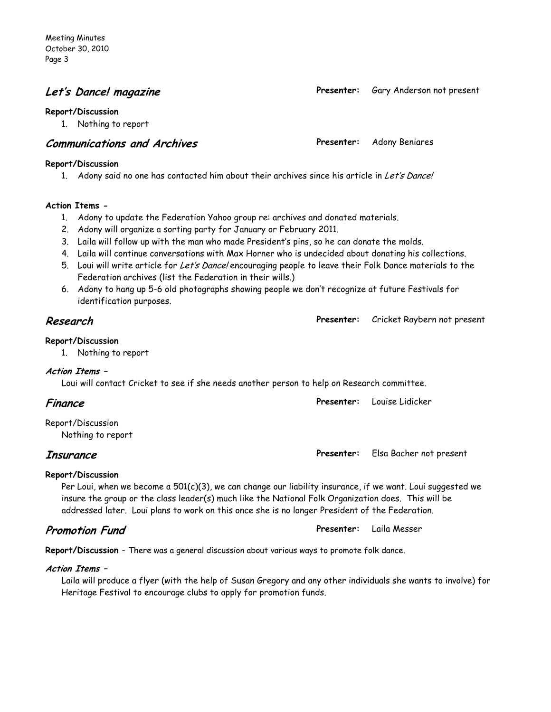## **Let's Dance! magazine Presenter:** Gary Anderson not present

#### **Report/Discussion**

1. Nothing to report

## **Communications and Archives Presenter:** Adony Beniares

#### **Report/Discussion**

1. Adony said no one has contacted him about their archives since his article in Let's Dance!

#### **Action Items -**

- 1. Adony to update the Federation Yahoo group re: archives and donated materials.
- 2. Adony will organize a sorting party for January or February 2011.
- 3. Laila will follow up with the man who made President's pins, so he can donate the molds.
- 4. Laila will continue conversations with Max Horner who is undecided about donating his collections.
- 5. Loui will write article for Let's Dance! encouraging people to leave their Folk Dance materials to the Federation archives (list the Federation in their wills.)
- 6. Adony to hang up 5-6 old photographs showing people we don't recognize at future Festivals for identification purposes.

## **Research Presenter:** Cricket Raybern not present

#### **Report/Discussion**

1. Nothing to report

#### **Action Items –**

Loui will contact Cricket to see if she needs another person to help on Research committee.

| Finance           | <b>Presenter:</b> Louise Lidicker |  |
|-------------------|-----------------------------------|--|
| Report/Discussion |                                   |  |
| Nothing to report |                                   |  |

**Insurance Presenter:** Elsa Bacher not present

#### **Report/Discussion**

Per Loui, when we become a 501(c)(3), we can change our liability insurance, if we want. Loui suggested we insure the group or the class leader(s) much like the National Folk Organization does. This will be addressed later. Loui plans to work on this once she is no longer President of the Federation.

**Report/Discussion –** There was a general discussion about various ways to promote folk dance.

#### **Action Items –**

Laila will produce a flyer (with the help of Susan Gregory and any other individuals she wants to involve) for Heritage Festival to encourage clubs to apply for promotion funds.

**Promotion Fund Presenter:** Laila Messer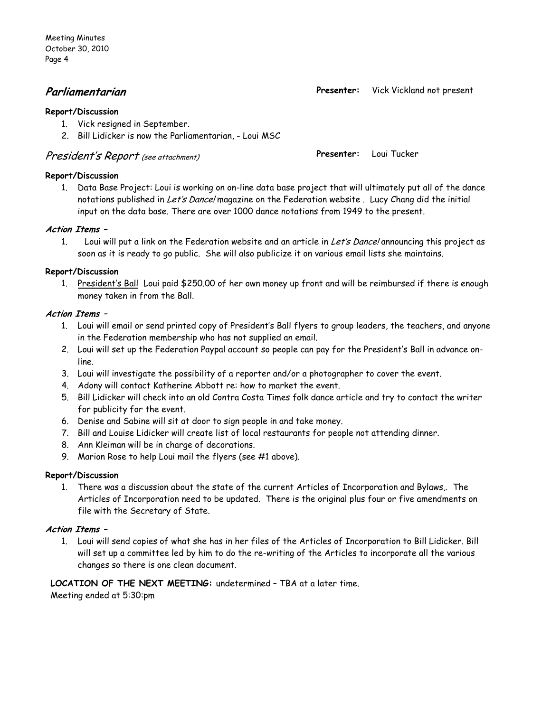Meeting Minutes October 30, 2010 Page 4

#### **Report/Discussion**

- 1. Vick resigned in September.
- 2. Bill Lidicker is now the Parliamentarian, Loui MSC

## President's Report (see attachment) **Presenter:** Loui Tucker

#### **Report/Discussion**

1. Data Base Project: Loui is working on on-line data base project that will ultimately put all of the dance notations published in Let's Dance! magazine on the Federation website. Lucy Chang did the initial input on the data base. There are over 1000 dance notations from 1949 to the present.

#### **Action Items –**

1. Loui will put a link on the Federation website and an article in Let's Dance! announcing this project as soon as it is ready to go public. She will also publicize it on various email lists she maintains.

#### **Report/Discussion**

1. President's Ball Loui paid \$250.00 of her own money up front and will be reimbursed if there is enough money taken in from the Ball.

#### **Action Items –**

- 1. Loui will email or send printed copy of President's Ball flyers to group leaders, the teachers, and anyone in the Federation membership who has not supplied an email.
- 2. Loui will set up the Federation Paypal account so people can pay for the President's Ball in advance online.
- 3. Loui will investigate the possibility of a reporter and/or a photographer to cover the event.
- 4. Adony will contact Katherine Abbott re: how to market the event.
- 5. Bill Lidicker will check into an old Contra Costa Times folk dance article and try to contact the writer for publicity for the event.
- 6. Denise and Sabine will sit at door to sign people in and take money.
- 7. Bill and Louise Lidicker will create list of local restaurants for people not attending dinner.
- 8. Ann Kleiman will be in charge of decorations.
- 9. Marion Rose to help Loui mail the flyers (see #1 above).

#### **Report/Discussion**

1. There was a discussion about the state of the current Articles of Incorporation and Bylaws,. The Articles of Incorporation need to be updated. There is the original plus four or five amendments on file with the Secretary of State.

#### **Action Items –**

1. Loui will send copies of what she has in her files of the Articles of Incorporation to Bill Lidicker. Bill will set up a committee led by him to do the re-writing of the Articles to incorporate all the various changes so there is one clean document.

**LOCATION OF THE NEXT MEETING:** undetermined – TBA at a later time. Meeting ended at 5:30:pm

**Parliamentarian Presenter:** Vick Vickland not present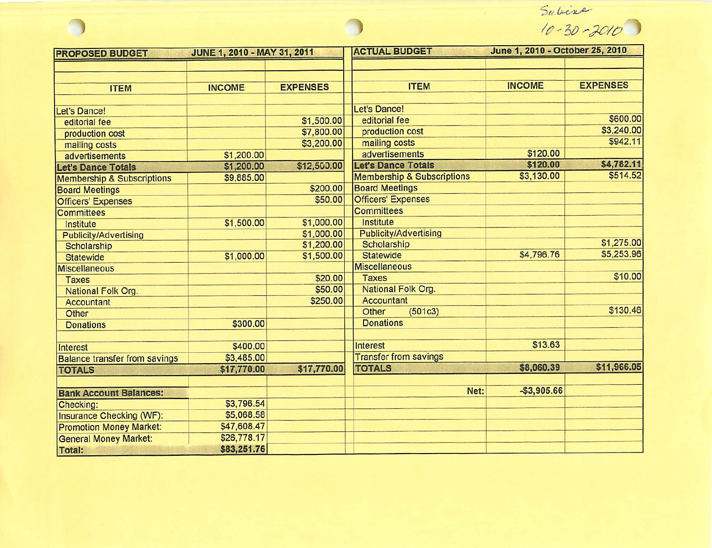$Sabine$ <br> $10 - 30 - 3010$ 

| <b>PROPOSED BUDGET</b>                | JUNE 1, 2010 - MAY 31, 2011 |                 | <b>ACTUAL BUDGET</b>                  | June 1, 2010 - October 25, 2010 |                 |
|---------------------------------------|-----------------------------|-----------------|---------------------------------------|---------------------------------|-----------------|
|                                       |                             |                 |                                       |                                 |                 |
|                                       |                             |                 |                                       |                                 |                 |
| <b>ITEM</b>                           | <b>INCOME</b>               | <b>EXPENSES</b> | <b>ITEM</b>                           | <b>INCOME</b>                   | <b>EXPENSES</b> |
|                                       |                             |                 |                                       |                                 |                 |
| <b>Let's Dance!</b>                   |                             |                 | <b>Let's Dance!</b>                   |                                 |                 |
| editorial fee                         |                             | \$1,500.00      | editorial fee                         |                                 | \$600.00        |
| production cost                       |                             | \$7,800.00      | production cost                       |                                 | \$3,240.00      |
| mailing costs                         |                             | \$3,200.00      | mailing costs                         |                                 | \$942.11        |
| advertisements                        | \$1,200.00                  |                 | advertisements                        | \$120.00                        |                 |
| <b>Let's Dance Totals</b>             | \$1,200.00                  | \$12,500.00     | <b>Let's Dance Totals</b>             | \$120.00                        | \$4,782.11      |
| <b>Membership &amp; Subscriptions</b> | \$9,885.00                  |                 | <b>Membership &amp; Subscriptions</b> | \$3,130.00                      | \$514.52        |
| <b>Board Meetings</b>                 |                             | \$200.00        | <b>Board Meetings</b>                 |                                 |                 |
| <b>Officers' Expenses</b>             |                             | \$50.00         | <b>Officers' Expenses</b>             |                                 |                 |
| <b>Committees</b>                     |                             |                 | <b>Committees</b>                     |                                 |                 |
| Institute                             | \$1,500.00                  | \$1,000.00      | Institute                             |                                 |                 |
| <b>Publicity/Advertising</b>          |                             | \$1,000.00      | <b>Publicity/Advertising</b>          |                                 |                 |
| Scholarship                           |                             | \$1,200.00      | Scholarship                           |                                 | \$1,275.00      |
| <b>Statewide</b>                      | \$1,000.00                  | \$1,500.00      | <b>Statewide</b>                      | \$4,796.76                      | \$5,253.96      |
| <b>Miscellaneous</b>                  |                             |                 | <b>Miscellaneous</b>                  |                                 |                 |
| <b>Taxes</b>                          |                             | \$20.00         | <b>Taxes</b>                          |                                 | \$10.00         |
| National Folk Org.                    |                             | \$50.00         | National Folk Org.                    |                                 |                 |
| <b>Accountant</b>                     |                             | \$250.00        | <b>Accountant</b>                     |                                 |                 |
| Other                                 |                             |                 | Other<br>(501c3)                      |                                 | \$130.46        |
| <b>Donations</b>                      | \$300.00                    |                 | <b>Donations</b>                      |                                 |                 |
|                                       |                             |                 |                                       |                                 |                 |
| Interest                              | \$400.00                    |                 | Interest                              | \$13.63                         |                 |
| <b>Balance transfer from savings</b>  | \$3,485.00                  |                 | <b>Transfer from savings</b>          |                                 |                 |
| <b>TOTALS</b>                         | \$17,770.00                 | \$17,770.00     | <b>TOTALS</b>                         | \$8,060.39                      | \$11,966.05     |
|                                       |                             |                 |                                       |                                 |                 |
| <b>Bank Account Balances:</b>         |                             |                 | Net:                                  | $-$3,905.66$                    |                 |
| Checking:                             | \$3,796.54                  |                 |                                       |                                 |                 |
| <b>Insurance Checking (WF):</b>       | \$5,068.58                  |                 |                                       |                                 |                 |
| <b>Promotion Money Market:</b>        | \$47,608.47                 |                 |                                       |                                 |                 |
| <b>General Money Market:</b>          | \$26,778.17                 |                 |                                       |                                 |                 |
| <b>Total:</b>                         | \$83,251.76                 |                 |                                       |                                 |                 |

 $\bigcirc$ 

 $\bigcirc$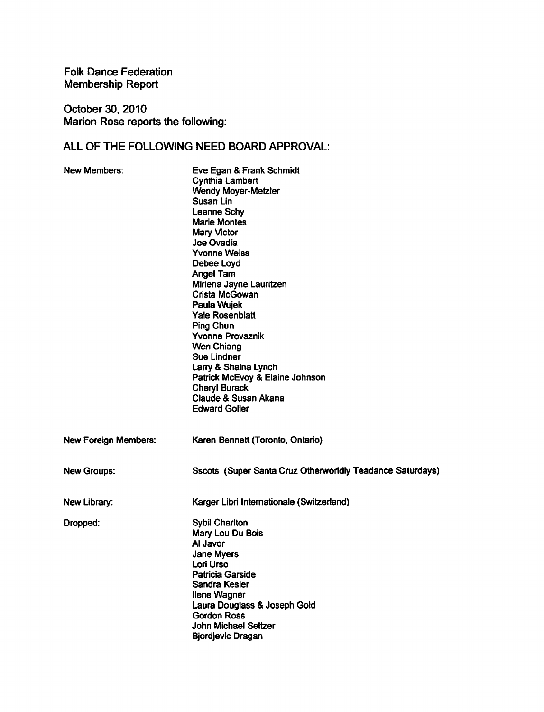**Folk Dance Federation** Membership Report

October 30, 2010 Marion Rose reports the following:

## ALL OF THE FOLLOWING NEED BOARD APPROVAL:

| <b>New Members:</b>         | Eve Egan & Frank Schmidt<br><b>Cynthia Lambert</b><br><b>Wendy Moyer-Metzler</b><br>Susan Lin<br>Leanne Schy<br><b>Marie Montes</b><br>Mary Victor<br>Joe Ovadia<br><b>Yvonne Weiss</b><br>Debee Loyd<br><b>Angel Tam</b><br>Miriena Jayne Lauritzen<br>Crista McGowan<br>Paula Wujek<br><b>Yale Rosenblatt</b><br><b>Ping Chun</b><br><b>Yvonne Provaznik</b><br><b>Wen Chiang</b><br><b>Sue Lindner</b><br>Larry & Shaina Lynch<br>Patrick McEvoy & Elaine Johnson<br><b>Cheryl Burack</b><br><b>Claude &amp; Susan Akana</b><br><b>Edward Goller</b> |
|-----------------------------|---------------------------------------------------------------------------------------------------------------------------------------------------------------------------------------------------------------------------------------------------------------------------------------------------------------------------------------------------------------------------------------------------------------------------------------------------------------------------------------------------------------------------------------------------------|
| <b>New Foreign Members:</b> | Karen Bennett (Toronto, Ontario)                                                                                                                                                                                                                                                                                                                                                                                                                                                                                                                        |
| <b>New Groups:</b>          | Sscots (Super Santa Cruz Otherworldly Teadance Saturdays)                                                                                                                                                                                                                                                                                                                                                                                                                                                                                               |
| New Library:                | Karger Libri Internationale (Switzerland)                                                                                                                                                                                                                                                                                                                                                                                                                                                                                                               |
| Dropped:                    | <b>Sybil Charlton</b><br>Mary Lou Du Bois<br>Al Javor<br>Jane Myers<br>Lori Urso<br><b>Patricia Garside</b><br>Sandra Kesler<br><b>Ilene Wagner</b><br>Laura Douglass & Joseph Gold<br><b>Gordon Ross</b><br><b>John Michael Seltzer</b><br><b>Bjordjevic Dragan</b>                                                                                                                                                                                                                                                                                    |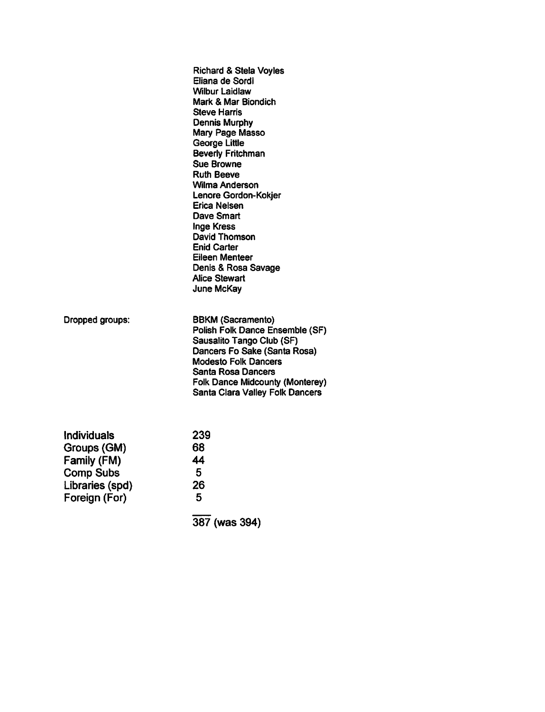|                                                                                                          | <b>Richard &amp; Stela Voyles</b><br>Eliana de Sordi<br>Wilbur Laidlaw<br>Mark & Mar Biondich<br><b>Steve Harris</b><br><b>Dennis Murphy</b><br>Mary Page Masso<br>George Little<br><b>Beverly Fritchman</b><br><b>Sue Browne</b><br><b>Ruth Beeve</b><br>Wilma Anderson<br>Lenore Gordon-Kokjer<br>Erica Nelsen<br>Dave Smart<br>Inge Kress<br>David Thomson<br><b>Enid Carter</b><br>Eileen Menteer<br>Denis & Rosa Savage<br><b>Alice Stewart</b><br>June McKay |
|----------------------------------------------------------------------------------------------------------|--------------------------------------------------------------------------------------------------------------------------------------------------------------------------------------------------------------------------------------------------------------------------------------------------------------------------------------------------------------------------------------------------------------------------------------------------------------------|
| Dropped groups:                                                                                          | <b>BBKM (Sacramento)</b><br>Polish Folk Dance Ensemble (SF)<br>Sausalito Tango Club (SF)<br>Dancers Fo Sake (Santa Rosa)<br><b>Modesto Folk Dancers</b><br>Santa Rosa Dancers<br><b>Folk Dance Midcounty (Monterey)</b><br><b>Santa Clara Valley Folk Dancers</b>                                                                                                                                                                                                  |
| <b>Individuals</b><br>Groups (GM)<br>Family (FM)<br><b>Comp Subs</b><br>Libraries (spd)<br>Foreign (For) | 239<br>68<br>44<br>5<br>26<br>5<br>387 (was 394)                                                                                                                                                                                                                                                                                                                                                                                                                   |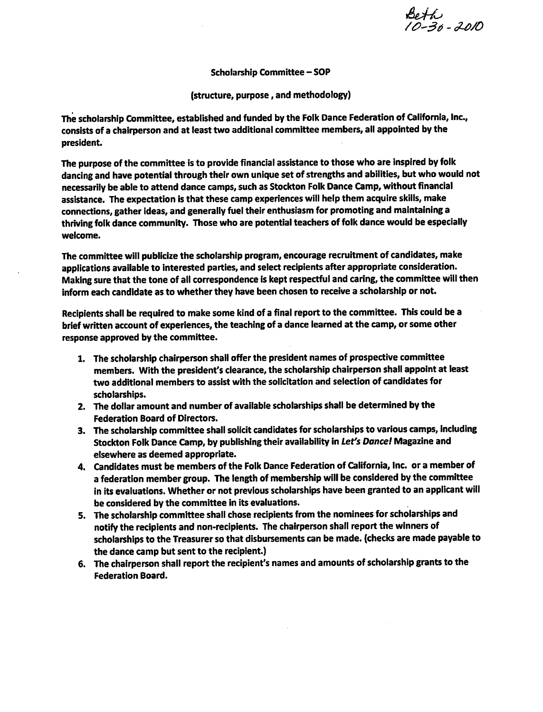Beth<br>10-30-2010

**Scholarship Committee - SOP** 

(structure, purpose, and methodology)

The scholarship Committee, established and funded by the Folk Dance Federation of California, Inc., consists of a chairperson and at least two additional committee members, all appointed by the president.

The purpose of the committee is to provide financial assistance to those who are inspired by folk dancing and have potential through their own unique set of strengths and abilities, but who would not necessarily be able to attend dance camps, such as Stockton Folk Dance Camp, without financial assistance. The expectation is that these camp experiences will help them acquire skills, make connections, gather ideas, and generally fuel their enthusiasm for promoting and maintaining a thriving folk dance community. Those who are potential teachers of folk dance would be especially welcome.

The committee will publicize the scholarship program, encourage recruitment of candidates, make applications available to interested parties, and select recipients after appropriate consideration. Making sure that the tone of all correspondence is kept respectful and caring, the committee will then inform each candidate as to whether they have been chosen to receive a scholarship or not.

Recipients shall be required to make some kind of a final report to the committee. This could be a brief written account of experiences, the teaching of a dance learned at the camp, or some other response approved by the committee.

- 1. The scholarship chairperson shall offer the president names of prospective committee members. With the president's clearance, the scholarship chairperson shall appoint at least two additional members to assist with the solicitation and selection of candidates for scholarships.
- 2. The dollar amount and number of available scholarships shall be determined by the **Federation Board of Directors.**
- 3. The scholarship committee shall solicit candidates for scholarships to various camps, including Stockton Folk Dance Camp, by publishing their availability in Let's Dance! Magazine and elsewhere as deemed appropriate.
- 4. Candidates must be members of the Folk Dance Federation of California, Inc. or a member of a federation member group. The length of membership will be considered by the committee in its evaluations. Whether or not previous scholarships have been granted to an applicant will be considered by the committee in its evaluations.
- 5. The scholarship committee shall chose recipients from the nominees for scholarships and notify the recipients and non-recipients. The chairperson shall report the winners of scholarships to the Treasurer so that disbursements can be made. (checks are made payable to the dance camp but sent to the recipient.)
- 6. The chairperson shall report the recipient's names and amounts of scholarship grants to the **Federation Board.**

 $\Delta$